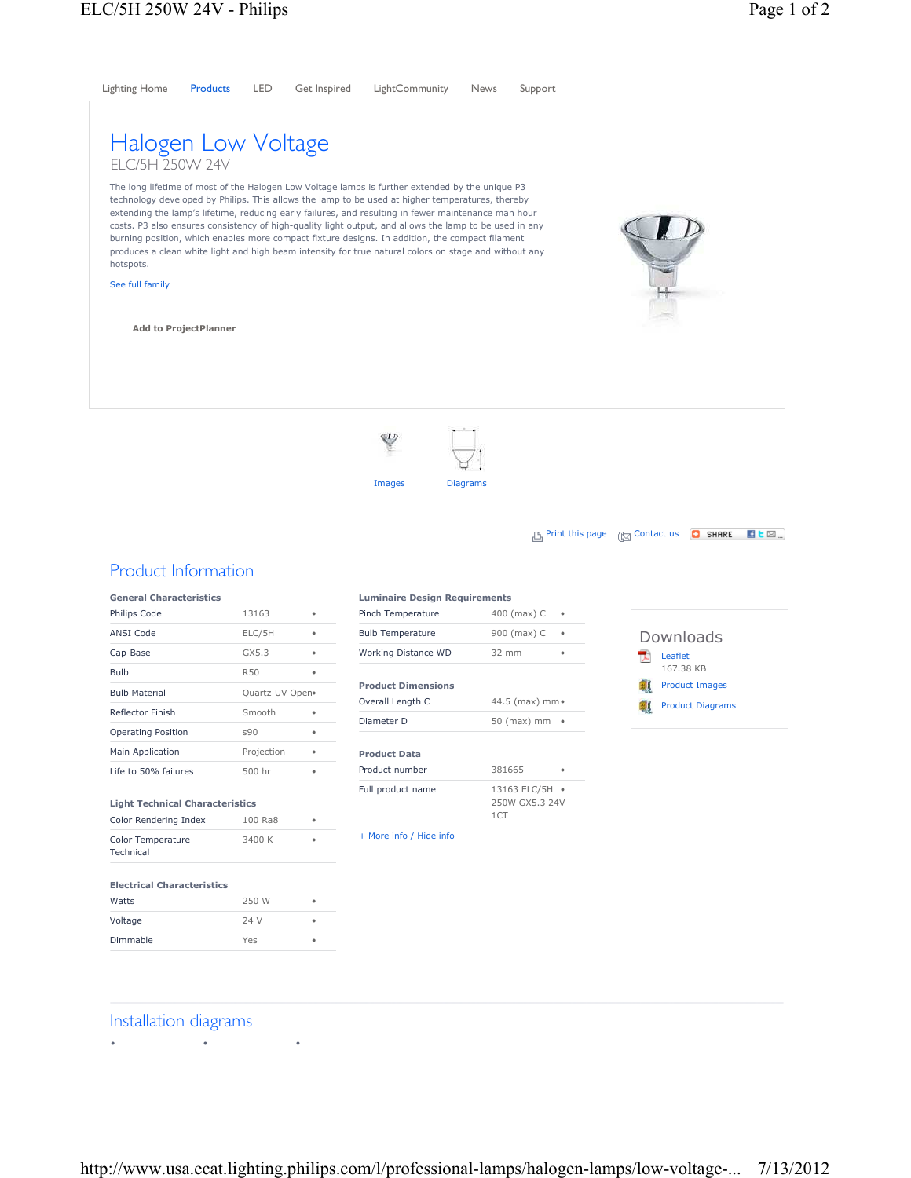

## Installation diagrams

• • •